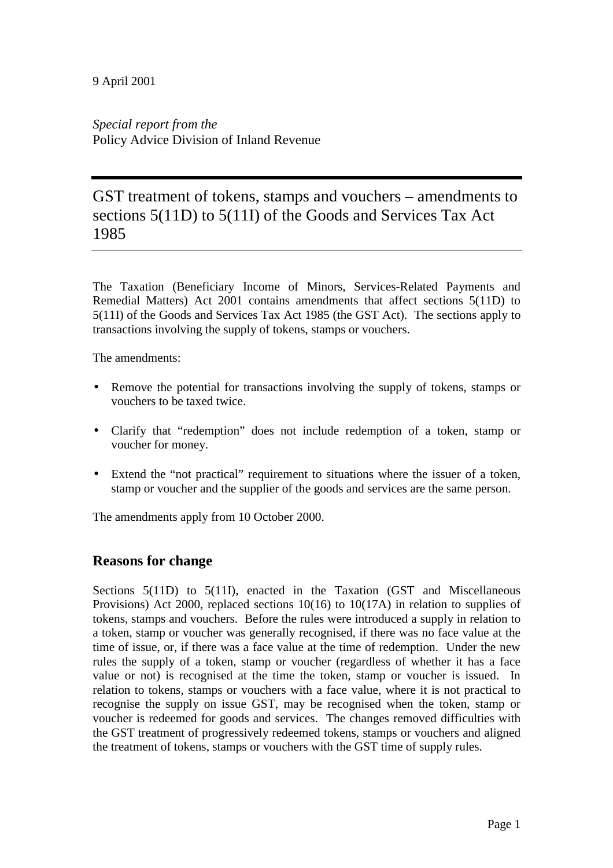*Special report from the* Policy Advice Division of Inland Revenue

# GST treatment of tokens, stamps and vouchers – amendments to sections 5(11D) to 5(11I) of the Goods and Services Tax Act 1985

The Taxation (Beneficiary Income of Minors, Services-Related Payments and Remedial Matters) Act 2001 contains amendments that affect sections 5(11D) to 5(11I) of the Goods and Services Tax Act 1985 (the GST Act). The sections apply to transactions involving the supply of tokens, stamps or vouchers.

The amendments:

- Remove the potential for transactions involving the supply of tokens, stamps or vouchers to be taxed twice.
- Clarify that "redemption" does not include redemption of a token, stamp or voucher for money.
- Extend the "not practical" requirement to situations where the issuer of a token, stamp or voucher and the supplier of the goods and services are the same person.

The amendments apply from 10 October 2000.

### **Reasons for change**

Sections 5(11D) to 5(11I), enacted in the Taxation (GST and Miscellaneous Provisions) Act 2000, replaced sections 10(16) to 10(17A) in relation to supplies of tokens, stamps and vouchers. Before the rules were introduced a supply in relation to a token, stamp or voucher was generally recognised, if there was no face value at the time of issue, or, if there was a face value at the time of redemption. Under the new rules the supply of a token, stamp or voucher (regardless of whether it has a face value or not) is recognised at the time the token, stamp or voucher is issued. In relation to tokens, stamps or vouchers with a face value, where it is not practical to recognise the supply on issue GST, may be recognised when the token, stamp or voucher is redeemed for goods and services. The changes removed difficulties with the GST treatment of progressively redeemed tokens, stamps or vouchers and aligned the treatment of tokens, stamps or vouchers with the GST time of supply rules.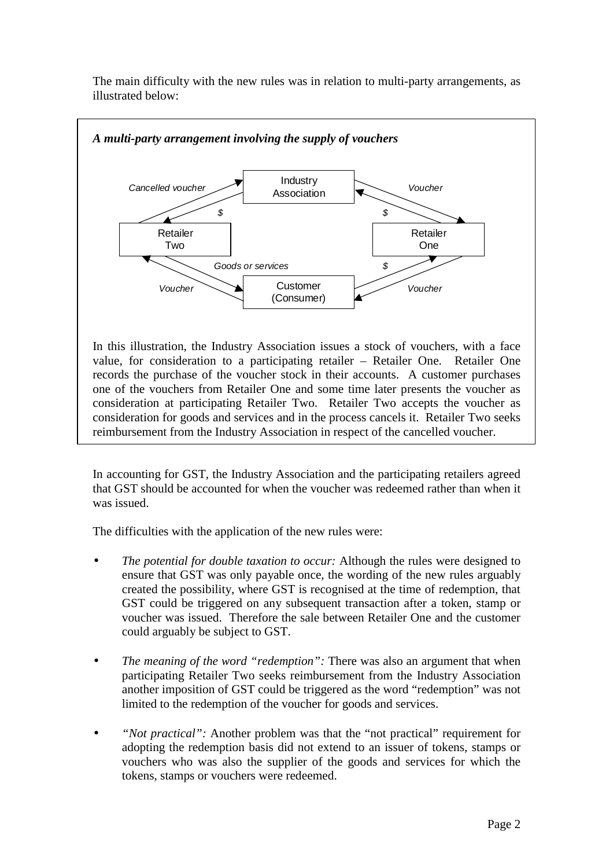The main difficulty with the new rules was in relation to multi-party arrangements, as illustrated below:



consideration at participating Retailer Two. Retailer Two accepts the voucher as consideration for goods and services and in the process cancels it. Retailer Two seeks reimbursement from the Industry Association in respect of the cancelled voucher.

In accounting for GST, the Industry Association and the participating retailers agreed that GST should be accounted for when the voucher was redeemed rather than when it was issued.

The difficulties with the application of the new rules were:

- *The potential for double taxation to occur:* Although the rules were designed to ensure that GST was only payable once, the wording of the new rules arguably created the possibility, where GST is recognised at the time of redemption, that GST could be triggered on any subsequent transaction after a token, stamp or voucher was issued. Therefore the sale between Retailer One and the customer could arguably be subject to GST.
- *The meaning of the word "redemption":* There was also an argument that when participating Retailer Two seeks reimbursement from the Industry Association another imposition of GST could be triggered as the word "redemption" was not limited to the redemption of the voucher for goods and services.
- *"Not practical":* Another problem was that the "not practical" requirement for adopting the redemption basis did not extend to an issuer of tokens, stamps or vouchers who was also the supplier of the goods and services for which the tokens, stamps or vouchers were redeemed.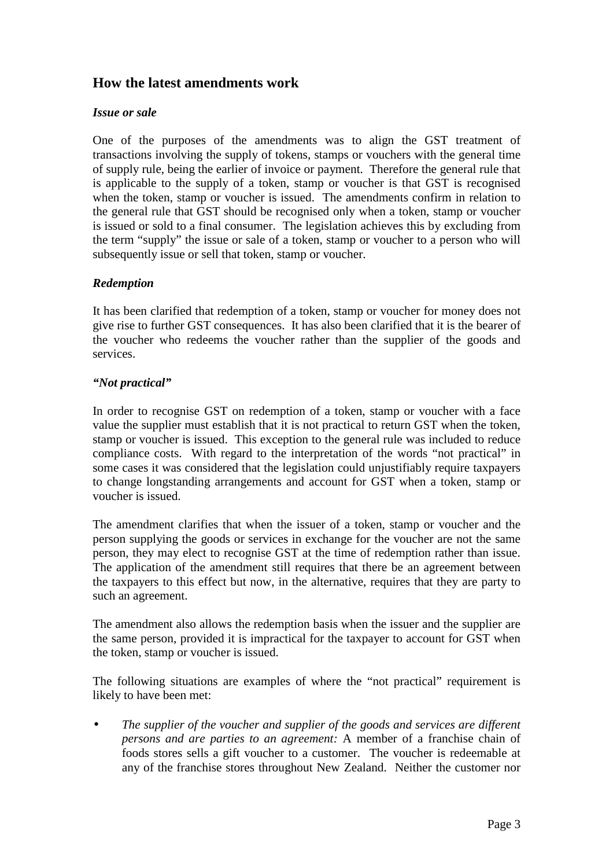## **How the latest amendments work**

#### *Issue or sale*

One of the purposes of the amendments was to align the GST treatment of transactions involving the supply of tokens, stamps or vouchers with the general time of supply rule, being the earlier of invoice or payment. Therefore the general rule that is applicable to the supply of a token, stamp or voucher is that GST is recognised when the token, stamp or voucher is issued. The amendments confirm in relation to the general rule that GST should be recognised only when a token, stamp or voucher is issued or sold to a final consumer. The legislation achieves this by excluding from the term "supply" the issue or sale of a token, stamp or voucher to a person who will subsequently issue or sell that token, stamp or voucher.

#### *Redemption*

It has been clarified that redemption of a token, stamp or voucher for money does not give rise to further GST consequences. It has also been clarified that it is the bearer of the voucher who redeems the voucher rather than the supplier of the goods and services.

#### *"Not practical"*

In order to recognise GST on redemption of a token, stamp or voucher with a face value the supplier must establish that it is not practical to return GST when the token, stamp or voucher is issued. This exception to the general rule was included to reduce compliance costs. With regard to the interpretation of the words "not practical" in some cases it was considered that the legislation could unjustifiably require taxpayers to change longstanding arrangements and account for GST when a token, stamp or voucher is issued.

The amendment clarifies that when the issuer of a token, stamp or voucher and the person supplying the goods or services in exchange for the voucher are not the same person, they may elect to recognise GST at the time of redemption rather than issue. The application of the amendment still requires that there be an agreement between the taxpayers to this effect but now, in the alternative, requires that they are party to such an agreement.

The amendment also allows the redemption basis when the issuer and the supplier are the same person, provided it is impractical for the taxpayer to account for GST when the token, stamp or voucher is issued.

The following situations are examples of where the "not practical" requirement is likely to have been met:

• *The supplier of the voucher and supplier of the goods and services are different persons and are parties to an agreement:* A member of a franchise chain of foods stores sells a gift voucher to a customer. The voucher is redeemable at any of the franchise stores throughout New Zealand. Neither the customer nor